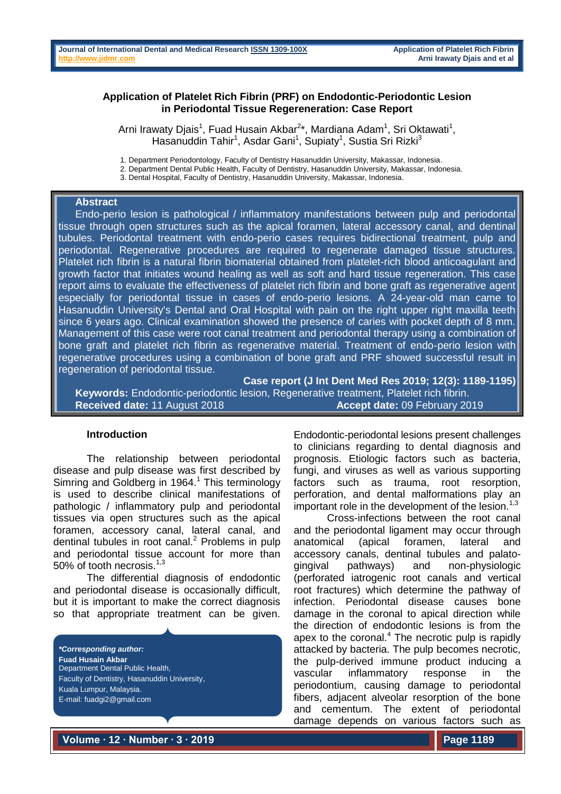## **Application of Platelet Rich Fibrin (PRF) on Endodontic-Periodontic Lesion in Periodontal Tissue Regereneration: Case Report**

Arni Irawaty Djais<sup>1</sup>, Fuad Husain Akbar<sup>2\*</sup>, Mardiana Adam<sup>1</sup>, Sri Oktawati<sup>1</sup>, Hasanuddin Tahir<sup>1</sup>, Asdar Gani<sup>1</sup>, Supiaty<sup>1</sup>, Sustia Sri Rizki<sup>3</sup>

1. Department Periodontology, Faculty of Dentistry Hasanuddin University, Makassar, Indonesia.

2. Department Dental Public Health, Faculty of Dentistry, Hasanuddin University, Makassar, Indonesia.

3. Dental Hospital, Faculty of Dentistry, Hasanuddin University, Makassar, Indonesia.

### **Abstract**

Endo-perio lesion is pathological / inflammatory manifestations between pulp and periodontal tissue through open structures such as the apical foramen, lateral accessory canal, and dentinal tubules. Periodontal treatment with endo-perio cases requires bidirectional treatment, pulp and periodontal. Regenerative procedures are required to regenerate damaged tissue structures. Platelet rich fibrin is a natural fibrin biomaterial obtained from platelet-rich blood anticoagulant and growth factor that initiates wound healing as well as soft and hard tissue regeneration. This case report aims to evaluate the effectiveness of platelet rich fibrin and bone graft as regenerative agent especially for periodontal tissue in cases of endo-perio lesions. A 24-year-old man came to Hasanuddin University's Dental and Oral Hospital with pain on the right upper right maxilla teeth since 6 years ago. Clinical examination showed the presence of caries with pocket depth of 8 mm. Management of this case were root canal treatment and periodontal therapy using a combination of bone graft and platelet rich fibrin as regenerative material. Treatment of endo-perio lesion with regenerative procedures using a combination of bone graft and PRF showed successful result in regeneration of periodontal tissue.

**Case report (J Int Dent Med Res 2019; 12(3): 1189-1195) Keywords:** Endodontic-periodontic lesion, Regenerative treatment, Platelet rich fibrin. **Received date:** 11 August 2018 **Accept date:** 09 February 2019

### **Introduction**

The relationship between periodontal disease and pulp disease was first described by Simring and Goldberg in  $1964<sup>1</sup>$ . This terminology is used to describe clinical manifestations of pathologic / inflammatory pulp and periodontal tissues via open structures such as the apical foramen, accessory canal, lateral canal, and dentinal tubules in root canal. <sup>2</sup> Problems in pulp and periodontal tissue account for more than 50% of tooth necrosis.<sup>1,3</sup>

The differential diagnosis of endodontic and periodontal disease is occasionally difficult, but it is important to make the correct diagnosis so that appropriate treatment can be given.

*\*Corresponding author:* **Fuad Husain Akbar** Department Dental Public Health, Faculty of Dentistry, Hasanuddin University, Kuala Lumpur, Malaysia. E-mail: fuadgi2@gmail.com

Endodontic-periodontal lesions present challenges to clinicians regarding to dental diagnosis and prognosis. Etiologic factors such as bacteria, fungi, and viruses as well as various supporting factors such as trauma, root resorption, perforation, and dental malformations play an important role in the development of the lesion.<sup>1,3</sup>

Cross-infections between the root canal and the periodontal ligament may occur through anatomical (apical foramen, lateral and accessory canals, dentinal tubules and palatogingival pathways) and non-physiologic (perforated iatrogenic root canals and vertical root fractures) which determine the pathway of infection. Periodontal disease causes bone damage in the coronal to apical direction while the direction of endodontic lesions is from the apex to the coronal. $4$  The necrotic pulp is rapidly attacked by bacteria. The pulp becomes necrotic, the pulp-derived immune product inducing a vascular inflammatory response in the periodontium, causing damage to periodontal fibers, adjacent alveolar resorption of the bone and cementum. The extent of periodontal damage depends on various factors such as

**Volume ∙ 12 ∙ Number ∙ 3 ∙ 2019**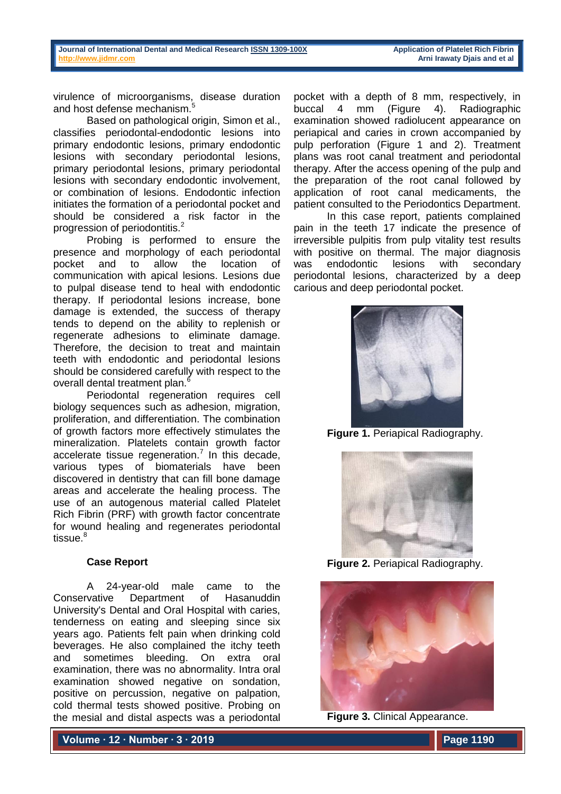virulence of microorganisms, disease duration and host defense mechanism.<sup>5</sup>

Based on pathological origin, Simon et al., classifies periodontal-endodontic lesions into primary endodontic lesions, primary endodontic lesions with secondary periodontal lesions, primary periodontal lesions, primary periodontal lesions with secondary endodontic involvement, or combination of lesions. Endodontic infection initiates the formation of a periodontal pocket and should be considered a risk factor in the progression of periodontitis.<sup>2</sup>

Probing is performed to ensure the presence and morphology of each periodontal pocket and to allow the location of communication with apical lesions. Lesions due to pulpal disease tend to heal with endodontic therapy. If periodontal lesions increase, bone damage is extended, the success of therapy tends to depend on the ability to replenish or regenerate adhesions to eliminate damage. Therefore, the decision to treat and maintain teeth with endodontic and periodontal lesions should be considered carefully with respect to the overall dental treatment plan.<sup>6</sup>

Periodontal regeneration requires cell biology sequences such as adhesion, migration, proliferation, and differentiation. The combination of growth factors more effectively stimulates the mineralization. Platelets contain growth factor accelerate tissue regeneration.<sup>7</sup> In this decade, various types of biomaterials have been discovered in dentistry that can fill bone damage areas and accelerate the healing process. The use of an autogenous material called Platelet Rich Fibrin (PRF) with growth factor concentrate for wound healing and regenerates periodontal tissue $8$ 

## **Case Report**

A 24-year-old male came to the Conservative Department of Hasanuddin University's Dental and Oral Hospital with caries, tenderness on eating and sleeping since six years ago. Patients felt pain when drinking cold beverages. He also complained the itchy teeth and sometimes bleeding. On extra oral examination, there was no abnormality. Intra oral examination showed negative on sondation, positive on percussion, negative on palpation, cold thermal tests showed positive. Probing on the mesial and distal aspects was a periodontal

**Volume ∙ 12 ∙ Number ∙ 3 ∙ 2019**

pocket with a depth of 8 mm, respectively, in buccal 4 mm (Figure 4). Radiographic examination showed radiolucent appearance on periapical and caries in crown accompanied by pulp perforation (Figure 1 and 2). Treatment plans was root canal treatment and periodontal therapy. After the access opening of the pulp and the preparation of the root canal followed by application of root canal medicaments, the patient consulted to the Periodontics Department.

In this case report, patients complained pain in the teeth 17 indicate the presence of irreversible pulpitis from pulp vitality test results with positive on thermal. The major diagnosis was endodontic lesions with secondary periodontal lesions, characterized by a deep carious and deep periodontal pocket.



**Figure 1.** Periapical Radiography.



**Figure 2.** Periapical Radiography.



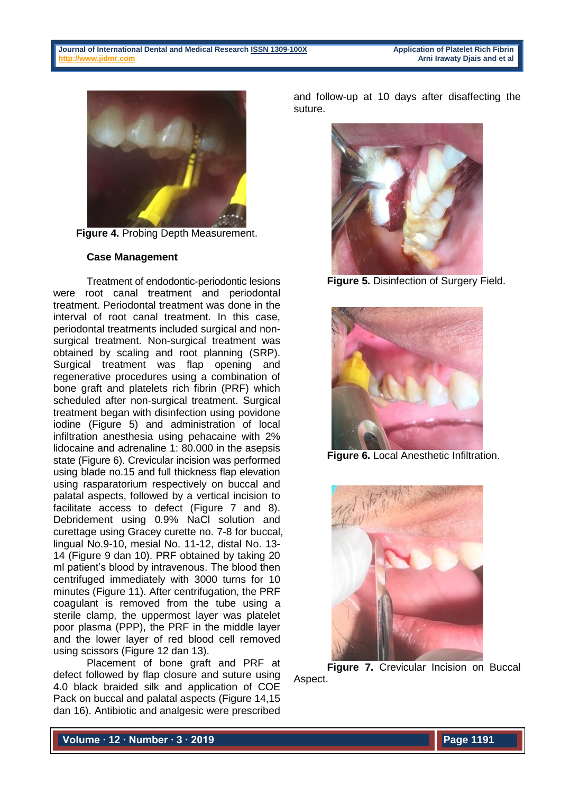

**Figure 4.** Probing Depth Measurement.

## **Case Management**

Treatment of endodontic-periodontic lesions were root canal treatment and periodontal treatment. Periodontal treatment was done in the interval of root canal treatment. In this case, periodontal treatments included surgical and nonsurgical treatment. Non-surgical treatment was obtained by scaling and root planning (SRP). Surgical treatment was flap opening and regenerative procedures using a combination of bone graft and platelets rich fibrin (PRF) which scheduled after non-surgical treatment. Surgical treatment began with disinfection using povidone iodine (Figure 5) and administration of local infiltration anesthesia using pehacaine with 2% lidocaine and adrenaline 1: 80.000 in the asepsis state (Figure 6). Crevicular incision was performed using blade no.15 and full thickness flap elevation using rasparatorium respectively on buccal and palatal aspects, followed by a vertical incision to facilitate access to defect (Figure 7 and 8). Debridement using 0.9% NaCl solution and curettage using Gracey curette no. 7-8 for buccal, lingual No.9-10, mesial No. 11-12, distal No. 13- 14 (Figure 9 dan 10). PRF obtained by taking 20 ml patient's blood by intravenous. The blood then centrifuged immediately with 3000 turns for 10 minutes (Figure 11). After centrifugation, the PRF coagulant is removed from the tube using a sterile clamp, the uppermost layer was platelet poor plasma (PPP), the PRF in the middle layer and the lower layer of red blood cell removed using scissors (Figure 12 dan 13).

Placement of bone graft and PRF at defect followed by flap closure and suture using 4.0 black braided silk and application of COE Pack on buccal and palatal aspects (Figure 14,15 dan 16). Antibiotic and analgesic were prescribed

and follow-up at 10 days after disaffecting the suture.



**Figure 5. Disinfection of Surgery Field.** 



**Figure 6.** Local Anesthetic Infiltration.



**Figure 7.** Crevicular Incision on Buccal Aspect.

**Volume ∙ 12 ∙ Number ∙ 3 ∙ 2019**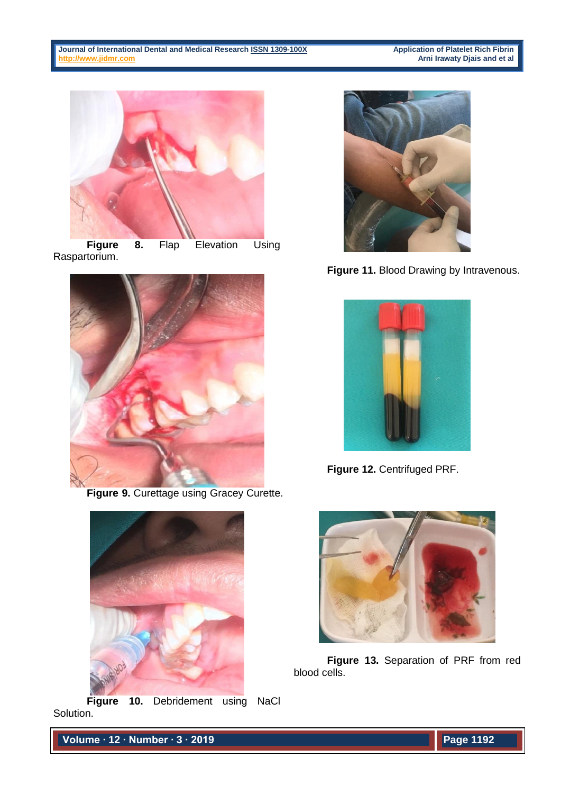**Application of Platelet Rich Fibrin<br>Arni Irawaty Djais and et al** 



**Figure 8.** Flap Elevation Using Raspartorium.



**Figure 9.** Curettage using Gracey Curette.



**Figure 10.** Debridement using NaCl Solution.



**Figure 11.** Blood Drawing by Intravenous.



**Figure 12.** Centrifuged PRF.



**Figure 13.** Separation of PRF from red blood cells.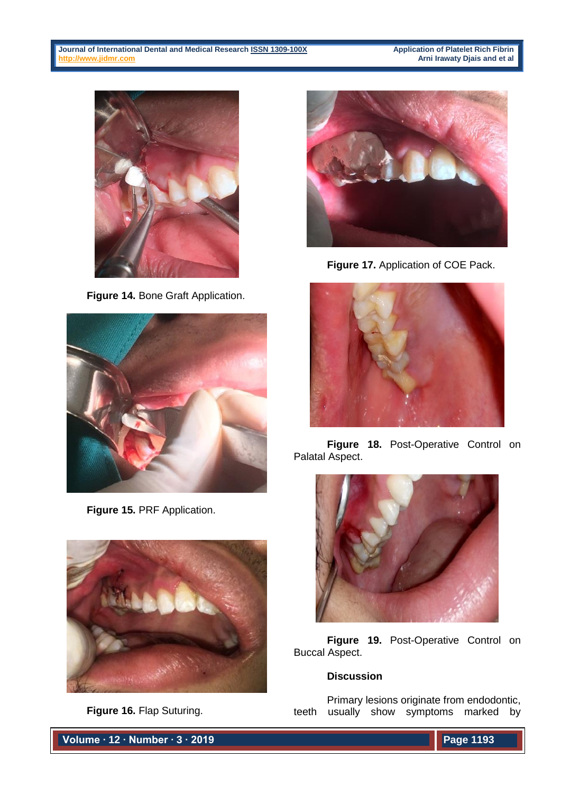**[http://www.jidmr.com](http://www.jidmr.com/) Arni Irawaty Djais and et al**



**Figure 14.** Bone Graft Application.



**Figure 15.** PRF Application.



**Figure 16.** Flap Suturing.

**Figure 17.** Application of COE Pack.



**Figure 18.** Post-Operative Control on Palatal Aspect.



**Figure 19.** Post-Operative Control on Buccal Aspect.

# **Discussion**

Primary lesions originate from endodontic, teeth usually show symptoms marked by

**Volume ∙ 12 ∙ Number ∙ 3 ∙ 2019**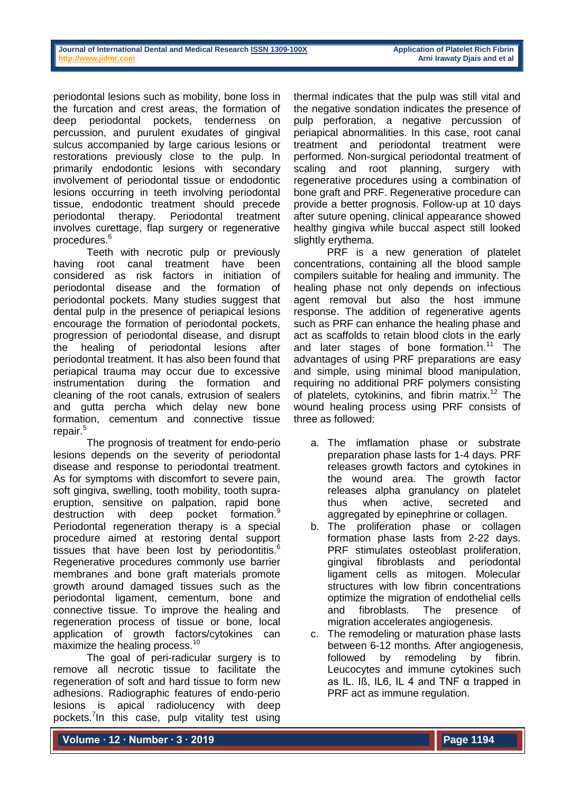periodontal lesions such as mobility, bone loss in the furcation and crest areas, the formation of deep periodontal pockets, tenderness on percussion, and purulent exudates of gingival sulcus accompanied by large carious lesions or restorations previously close to the pulp. In primarily endodontic lesions with secondary involvement of periodontal tissue or endodontic lesions occurring in teeth involving periodontal tissue, endodontic treatment should precede periodontal therapy. Periodontal treatment involves curettage, flap surgery or regenerative procedures.<sup>6</sup>

Teeth with necrotic pulp or previously having root canal treatment have been considered as risk factors in initiation of periodontal disease and the formation of periodontal pockets. Many studies suggest that dental pulp in the presence of periapical lesions encourage the formation of periodontal pockets, progression of periodontal disease, and disrupt the healing of periodontal lesions after periodontal treatment. It has also been found that periapical trauma may occur due to excessive instrumentation during the formation and cleaning of the root canals, extrusion of sealers and gutta percha which delay new bone formation, cementum and connective tissue repair.<sup>5</sup>

The prognosis of treatment for endo-perio lesions depends on the severity of periodontal disease and response to periodontal treatment. As for symptoms with discomfort to severe pain, soft gingiva, swelling, tooth mobility, tooth supraeruption, sensitive on palpation, rapid bone destruction with deep pocket formation.<sup>9</sup> Periodontal regeneration therapy is a special procedure aimed at restoring dental support tissues that have been lost by periodontitis.<sup>6</sup> Regenerative procedures commonly use barrier membranes and bone graft materials promote growth around damaged tissues such as the periodontal ligament, cementum, bone and connective tissue. To improve the healing and regeneration process of tissue or bone, local application of growth factors/cytokines can maximize the healing process.<sup>10</sup>

The goal of peri-radicular surgery is to remove all necrotic tissue to facilitate the regeneration of soft and hard tissue to form new adhesions. Radiographic features of endo-perio lesions is apical radiolucency with deep pockets.<sup>7</sup>In this case, pulp vitality test using

thermal indicates that the pulp was still vital and the negative sondation indicates the presence of pulp perforation, a negative percussion of periapical abnormalities. In this case, root canal treatment and periodontal treatment were performed. Non-surgical periodontal treatment of scaling and root planning, surgery with regenerative procedures using a combination of bone graft and PRF. Regenerative procedure can provide a better prognosis. Follow-up at 10 days after suture opening, clinical appearance showed healthy gingiva while buccal aspect still looked slightly erythema.

PRF is a new generation of platelet concentrations, containing all the blood sample compilers suitable for healing and immunity. The healing phase not only depends on infectious agent removal but also the host immune response. The addition of regenerative agents such as PRF can enhance the healing phase and act as scaffolds to retain blood clots in the early and later stages of bone formation.<sup>11</sup> The advantages of using PRF preparations are easy and simple, using minimal blood manipulation, requiring no additional PRF polymers consisting of platelets, cytokinins, and fibrin matrix.<sup>12</sup> The wound healing process using PRF consists of three as followed:

- a. The imflamation phase or substrate preparation phase lasts for 1-4 days. PRF releases growth factors and cytokines in the wound area. The growth factor releases alpha granulancy on platelet thus when active, secreted and aggregated by epinephrine or collagen.
- b. The proliferation phase or collagen formation phase lasts from 2-22 days. PRF stimulates osteoblast proliferation, gingival fibroblasts and periodontal ligament cells as mitogen. Molecular structures with low fibrin concentrations optimize the migration of endothelial cells and fibroblasts. The presence of migration accelerates angiogenesis.
- c. The remodeling or maturation phase lasts between 6-12 months. After angiogenesis, followed by remodeling by fibrin. Leucocytes and immune cytokines such as IL. Iß, IL6, IL 4 and TNF α trapped in PRF act as immune regulation.

**Volume ∙ 12 ∙ Number ∙ 3 ∙ 2019**